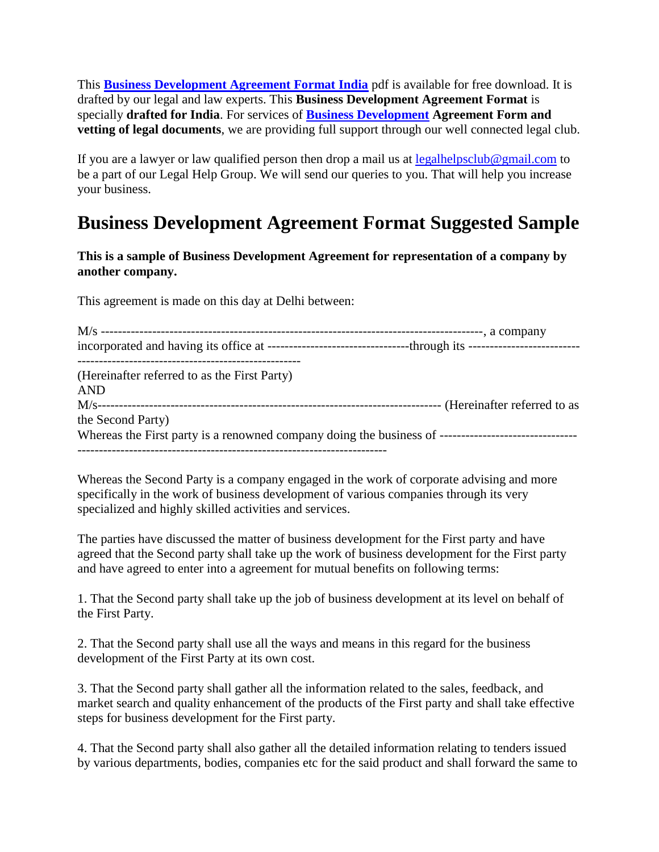This **[Business Development Agreement Format India](https://www.legalhelpclub.com/)** pdf is available for free download. It is drafted by our legal and law experts. This **Business Development Agreement Format** is specially **drafted for India**. For services of **Business Development Agreement Form and vetting of legal documents**, we are providing full support through our well connected legal club.

If you are a lawyer or law qualified person then drop a mail us at  $legalhelpsclub@gmail.com$  to be a part of our Legal Help Group. We will send our queries to you. That will help you increase your business.

## **Business Development Agreement Format Suggested Sample**

**This is a sample of Business Development Agreement for representation of a company by another company.**

This agreement is made on this day at Delhi between:

| (Hereinafter referred to as the First Party)<br><b>AND</b> |  |
|------------------------------------------------------------|--|
|                                                            |  |
| the Second Party)                                          |  |
|                                                            |  |

Whereas the Second Party is a company engaged in the work of corporate advising and more specifically in the work of business development of various companies through its very specialized and highly skilled activities and services.

The parties have discussed the matter of business development for the First party and have agreed that the Second party shall take up the work of business development for the First party and have agreed to enter into a agreement for mutual benefits on following terms:

1. That the Second party shall take up the job of business development at its level on behalf of the First Party.

2. That the Second party shall use all the ways and means in this regard for the business development of the First Party at its own cost.

3. That the Second party shall gather all the information related to the sales, feedback, and market search and quality enhancement of the products of the First party and shall take effective steps for business development for the First party.

4. That the Second party shall also gather all the detailed information relating to tenders issued by various departments, bodies, companies etc for the said product and shall forward the same to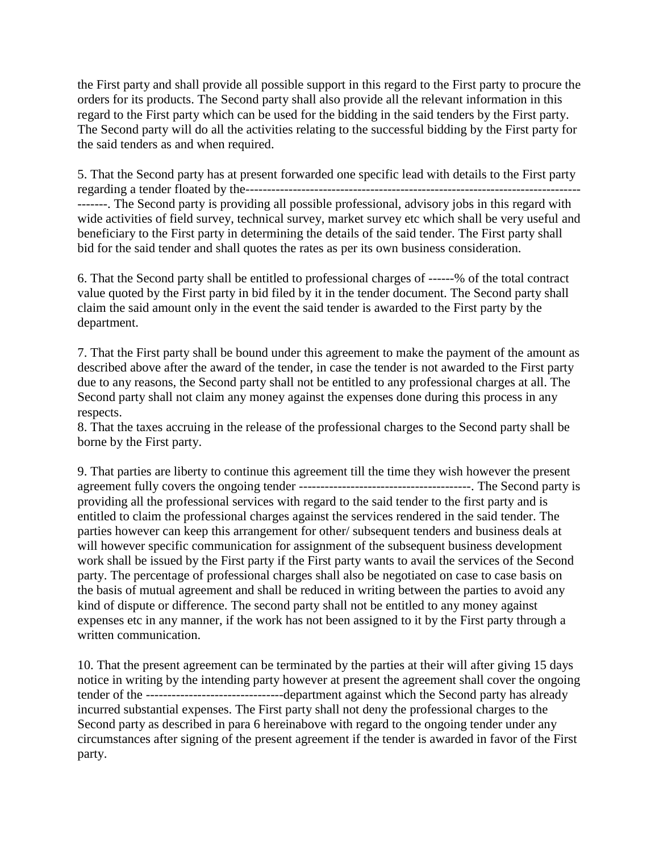the First party and shall provide all possible support in this regard to the First party to procure the orders for its products. The Second party shall also provide all the relevant information in this regard to the First party which can be used for the bidding in the said tenders by the First party. The Second party will do all the activities relating to the successful bidding by the First party for the said tenders as and when required.

5. That the Second party has at present forwarded one specific lead with details to the First party regarding a tender floated by the------------------------------------------------------------------------------ -------. The Second party is providing all possible professional, advisory jobs in this regard with wide activities of field survey, technical survey, market survey etc which shall be very useful and beneficiary to the First party in determining the details of the said tender. The First party shall bid for the said tender and shall quotes the rates as per its own business consideration.

6. That the Second party shall be entitled to professional charges of ------% of the total contract value quoted by the First party in bid filed by it in the tender document. The Second party shall claim the said amount only in the event the said tender is awarded to the First party by the department.

7. That the First party shall be bound under this agreement to make the payment of the amount as described above after the award of the tender, in case the tender is not awarded to the First party due to any reasons, the Second party shall not be entitled to any professional charges at all. The Second party shall not claim any money against the expenses done during this process in any respects.

8. That the taxes accruing in the release of the professional charges to the Second party shall be borne by the First party.

9. That parties are liberty to continue this agreement till the time they wish however the present agreement fully covers the ongoing tender ----------------------------------------. The Second party is providing all the professional services with regard to the said tender to the first party and is entitled to claim the professional charges against the services rendered in the said tender. The parties however can keep this arrangement for other/ subsequent tenders and business deals at will however specific communication for assignment of the subsequent business development work shall be issued by the First party if the First party wants to avail the services of the Second party. The percentage of professional charges shall also be negotiated on case to case basis on the basis of mutual agreement and shall be reduced in writing between the parties to avoid any kind of dispute or difference. The second party shall not be entitled to any money against expenses etc in any manner, if the work has not been assigned to it by the First party through a written communication.

10. That the present agreement can be terminated by the parties at their will after giving 15 days notice in writing by the intending party however at present the agreement shall cover the ongoing tender of the --------------------------------department against which the Second party has already incurred substantial expenses. The First party shall not deny the professional charges to the Second party as described in para 6 hereinabove with regard to the ongoing tender under any circumstances after signing of the present agreement if the tender is awarded in favor of the First party.